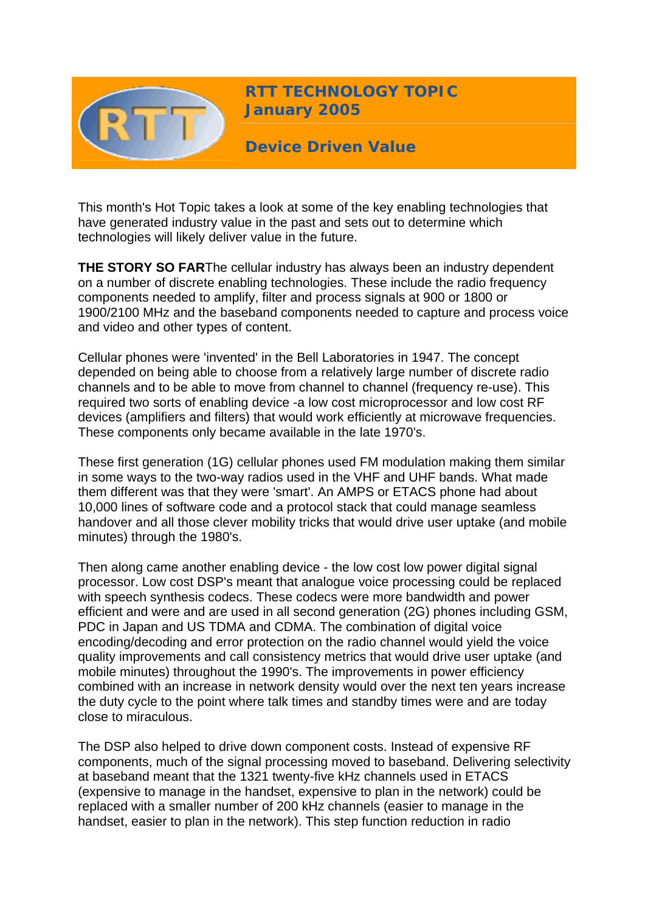

**RTT TECHNOLOGY TOPIC January 2005**

**Device Driven Value** 

This month's Hot Topic takes a look at some of the key enabling technologies that have generated industry value in the past and sets out to determine which technologies will likely deliver value in the future.

**THE STORY SO FAR**The cellular industry has always been an industry dependent on a number of discrete enabling technologies. These include the radio frequency components needed to amplify, filter and process signals at 900 or 1800 or 1900/2100 MHz and the baseband components needed to capture and process voice and video and other types of content.

Cellular phones were 'invented' in the Bell Laboratories in 1947. The concept depended on being able to choose from a relatively large number of discrete radio channels and to be able to move from channel to channel (frequency re-use). This required two sorts of enabling device -a low cost microprocessor and low cost RF devices (amplifiers and filters) that would work efficiently at microwave frequencies. These components only became available in the late 1970's.

These first generation (1G) cellular phones used FM modulation making them similar in some ways to the two-way radios used in the VHF and UHF bands. What made them different was that they were 'smart'. An AMPS or ETACS phone had about 10,000 lines of software code and a protocol stack that could manage seamless handover and all those clever mobility tricks that would drive user uptake (and mobile minutes) through the 1980's.

Then along came another enabling device - the low cost low power digital signal processor. Low cost DSP's meant that analogue voice processing could be replaced with speech synthesis codecs. These codecs were more bandwidth and power efficient and were and are used in all second generation (2G) phones including GSM, PDC in Japan and US TDMA and CDMA. The combination of digital voice encoding/decoding and error protection on the radio channel would yield the voice quality improvements and call consistency metrics that would drive user uptake (and mobile minutes) throughout the 1990's. The improvements in power efficiency combined with an increase in network density would over the next ten years increase the duty cycle to the point where talk times and standby times were and are today close to miraculous.

The DSP also helped to drive down component costs. Instead of expensive RF components, much of the signal processing moved to baseband. Delivering selectivity at baseband meant that the 1321 twenty-five kHz channels used in ETACS (expensive to manage in the handset, expensive to plan in the network) could be replaced with a smaller number of 200 kHz channels (easier to manage in the handset, easier to plan in the network). This step function reduction in radio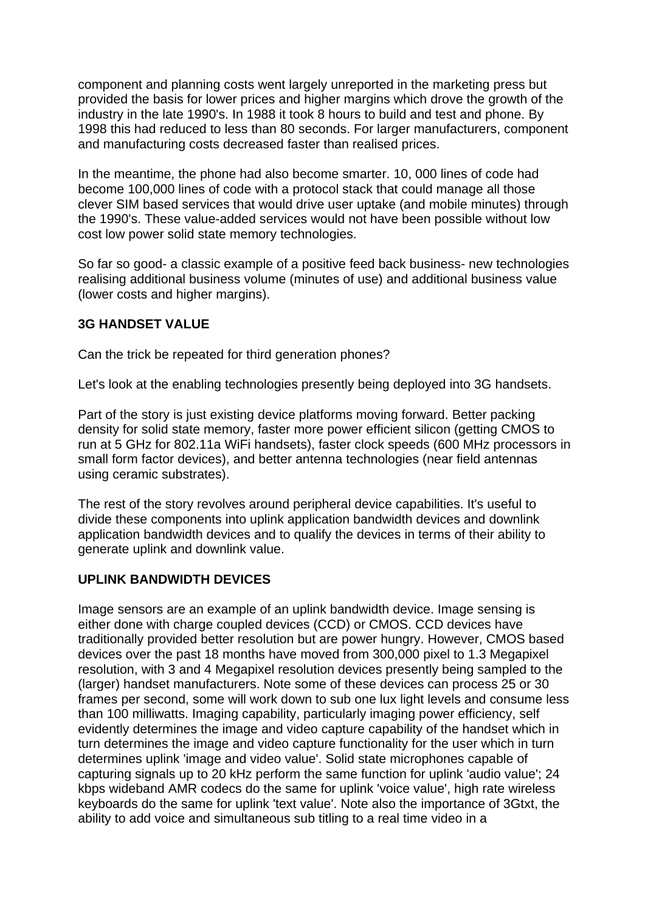component and planning costs went largely unreported in the marketing press but provided the basis for lower prices and higher margins which drove the growth of the industry in the late 1990's. In 1988 it took 8 hours to build and test and phone. By 1998 this had reduced to less than 80 seconds. For larger manufacturers, component and manufacturing costs decreased faster than realised prices.

In the meantime, the phone had also become smarter. 10, 000 lines of code had become 100,000 lines of code with a protocol stack that could manage all those clever SIM based services that would drive user uptake (and mobile minutes) through the 1990's. These value-added services would not have been possible without low cost low power solid state memory technologies.

So far so good- a classic example of a positive feed back business- new technologies realising additional business volume (minutes of use) and additional business value (lower costs and higher margins).

## **3G HANDSET VALUE**

Can the trick be repeated for third generation phones?

Let's look at the enabling technologies presently being deployed into 3G handsets.

Part of the story is just existing device platforms moving forward. Better packing density for solid state memory, faster more power efficient silicon (getting CMOS to run at 5 GHz for 802.11a WiFi handsets), faster clock speeds (600 MHz processors in small form factor devices), and better antenna technologies (near field antennas using ceramic substrates).

The rest of the story revolves around peripheral device capabilities. It's useful to divide these components into uplink application bandwidth devices and downlink application bandwidth devices and to qualify the devices in terms of their ability to generate uplink and downlink value.

# **UPLINK BANDWIDTH DEVICES**

Image sensors are an example of an uplink bandwidth device. Image sensing is either done with charge coupled devices (CCD) or CMOS. CCD devices have traditionally provided better resolution but are power hungry. However, CMOS based devices over the past 18 months have moved from 300,000 pixel to 1.3 Megapixel resolution, with 3 and 4 Megapixel resolution devices presently being sampled to the (larger) handset manufacturers. Note some of these devices can process 25 or 30 frames per second, some will work down to sub one lux light levels and consume less than 100 milliwatts. Imaging capability, particularly imaging power efficiency, self evidently determines the image and video capture capability of the handset which in turn determines the image and video capture functionality for the user which in turn determines uplink 'image and video value'. Solid state microphones capable of capturing signals up to 20 kHz perform the same function for uplink 'audio value'; 24 kbps wideband AMR codecs do the same for uplink 'voice value', high rate wireless keyboards do the same for uplink 'text value'. Note also the importance of 3Gtxt, the ability to add voice and simultaneous sub titling to a real time video in a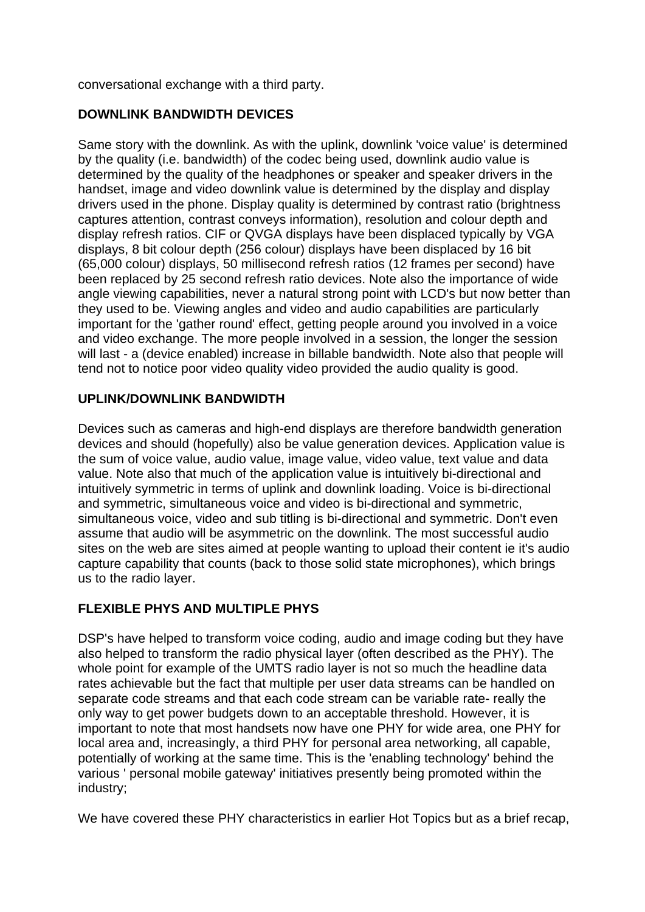conversational exchange with a third party.

## **DOWNLINK BANDWIDTH DEVICES**

Same story with the downlink. As with the uplink, downlink 'voice value' is determined by the quality (i.e. bandwidth) of the codec being used, downlink audio value is determined by the quality of the headphones or speaker and speaker drivers in the handset, image and video downlink value is determined by the display and display drivers used in the phone. Display quality is determined by contrast ratio (brightness captures attention, contrast conveys information), resolution and colour depth and display refresh ratios. CIF or QVGA displays have been displaced typically by VGA displays, 8 bit colour depth (256 colour) displays have been displaced by 16 bit (65,000 colour) displays, 50 millisecond refresh ratios (12 frames per second) have been replaced by 25 second refresh ratio devices. Note also the importance of wide angle viewing capabilities, never a natural strong point with LCD's but now better than they used to be. Viewing angles and video and audio capabilities are particularly important for the 'gather round' effect, getting people around you involved in a voice and video exchange. The more people involved in a session, the longer the session will last - a (device enabled) increase in billable bandwidth. Note also that people will tend not to notice poor video quality video provided the audio quality is good.

## **UPLINK/DOWNLINK BANDWIDTH**

Devices such as cameras and high-end displays are therefore bandwidth generation devices and should (hopefully) also be value generation devices. Application value is the sum of voice value, audio value, image value, video value, text value and data value. Note also that much of the application value is intuitively bi-directional and intuitively symmetric in terms of uplink and downlink loading. Voice is bi-directional and symmetric, simultaneous voice and video is bi-directional and symmetric, simultaneous voice, video and sub titling is bi-directional and symmetric. Don't even assume that audio will be asymmetric on the downlink. The most successful audio sites on the web are sites aimed at people wanting to upload their content ie it's audio capture capability that counts (back to those solid state microphones), which brings us to the radio layer.

# **FLEXIBLE PHYS AND MULTIPLE PHYS**

DSP's have helped to transform voice coding, audio and image coding but they have also helped to transform the radio physical layer (often described as the PHY). The whole point for example of the UMTS radio layer is not so much the headline data rates achievable but the fact that multiple per user data streams can be handled on separate code streams and that each code stream can be variable rate- really the only way to get power budgets down to an acceptable threshold. However, it is important to note that most handsets now have one PHY for wide area, one PHY for local area and, increasingly, a third PHY for personal area networking, all capable, potentially of working at the same time. This is the 'enabling technology' behind the various ' personal mobile gateway' initiatives presently being promoted within the industry;

We have covered these PHY characteristics in earlier Hot Topics but as a brief recap,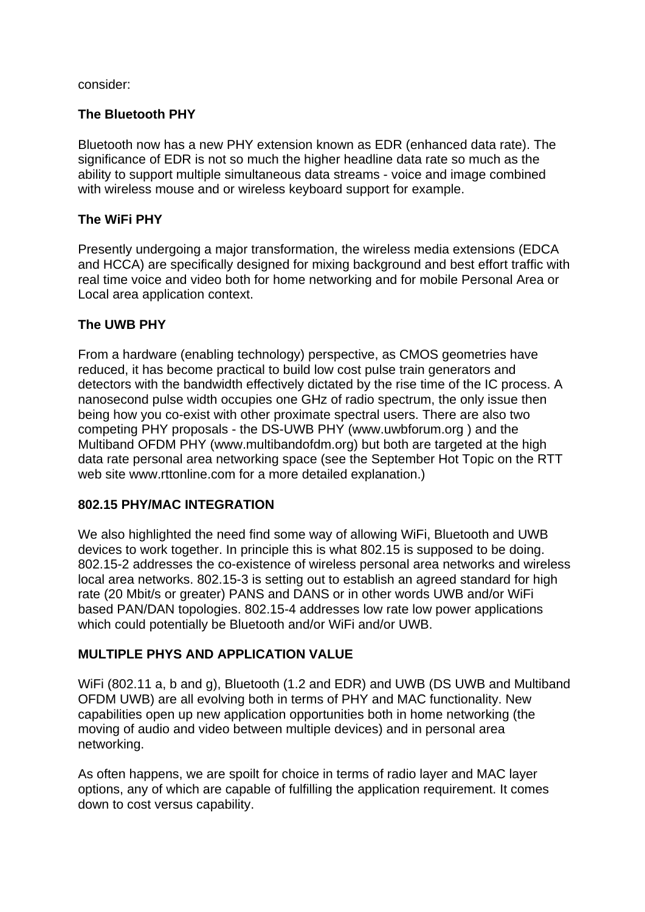consider:

# **The Bluetooth PHY**

Bluetooth now has a new PHY extension known as EDR (enhanced data rate). The significance of EDR is not so much the higher headline data rate so much as the ability to support multiple simultaneous data streams - voice and image combined with wireless mouse and or wireless keyboard support for example.

# **The WiFi PHY**

Presently undergoing a major transformation, the wireless media extensions (EDCA and HCCA) are specifically designed for mixing background and best effort traffic with real time voice and video both for home networking and for mobile Personal Area or Local area application context.

## **The UWB PHY**

From a hardware (enabling technology) perspective, as CMOS geometries have reduced, it has become practical to build low cost pulse train generators and detectors with the bandwidth effectively dictated by the rise time of the IC process. A nanosecond pulse width occupies one GHz of radio spectrum, the only issue then being how you co-exist with other proximate spectral users. There are also two competing PHY proposals - the DS-UWB PHY (www.uwbforum.org ) and the Multiband OFDM PHY (www.multibandofdm.org) but both are targeted at the high data rate personal area networking space (see the September Hot Topic on the RTT web site www.rttonline.com for a more detailed explanation.)

## **802.15 PHY/MAC INTEGRATION**

We also highlighted the need find some way of allowing WiFi, Bluetooth and UWB devices to work together. In principle this is what 802.15 is supposed to be doing. 802.15-2 addresses the co-existence of wireless personal area networks and wireless local area networks. 802.15-3 is setting out to establish an agreed standard for high rate (20 Mbit/s or greater) PANS and DANS or in other words UWB and/or WiFi based PAN/DAN topologies. 802.15-4 addresses low rate low power applications which could potentially be Bluetooth and/or WiFi and/or UWB.

# **MULTIPLE PHYS AND APPLICATION VALUE**

WiFi (802.11 a, b and g), Bluetooth (1.2 and EDR) and UWB (DS UWB and Multiband OFDM UWB) are all evolving both in terms of PHY and MAC functionality. New capabilities open up new application opportunities both in home networking (the moving of audio and video between multiple devices) and in personal area networking.

As often happens, we are spoilt for choice in terms of radio layer and MAC layer options, any of which are capable of fulfilling the application requirement. It comes down to cost versus capability.